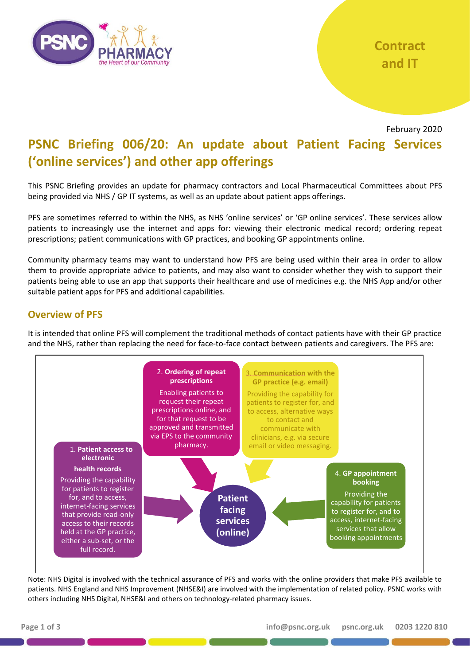

## **Contract and IT**

February 2020

# **PSNC Briefing 006/20: An update about Patient Facing Services ('online services') and other app offerings**

This PSNC Briefing provides an update for pharmacy contractors and Local Pharmaceutical Committees about PFS being provided via NHS / GP IT systems, as well as an update about patient apps offerings.

PFS are sometimes referred to within the NHS, as NHS 'online services' or 'GP online services'. These services allow patients to increasingly use the internet and apps for: viewing their electronic medical record; ordering repeat prescriptions; patient communications with GP practices, and booking GP appointments online.

Community pharmacy teams may want to understand how PFS are being used within their area in order to allow them to provide appropriate advice to patients, and may also want to consider whether they wish to support their patients being able to use an app that supports their healthcare and use of medicines e.g. the NHS App and/or other suitable patient apps for PFS and additional capabilities.

#### **Overview of PFS**

It is intended that online PFS will complement the traditional methods of contact patients have with their GP practice and the NHS, rather than replacing the need for face-to-face contact between patients and caregivers. The PFS are:



Note: NHS Digital is involved with the technical assurance of PFS and works with the online providers that make PFS available to patients. NHS England and NHS Improvement (NHSE&I) are involved with the implementation of related policy. PSNC works with others including NHS Digital, NHSE&I and others on technology-related pharmacy issues.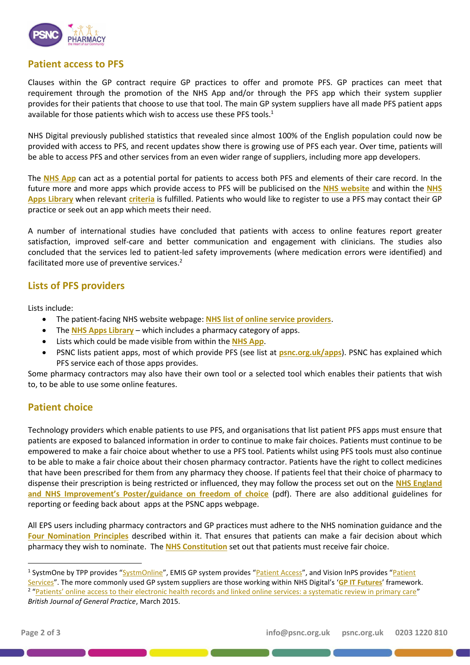

#### **Patient access to PFS**

Clauses within the GP contract require GP practices to offer and promote PFS. GP practices can meet that requirement through the promotion of the NHS App and/or through the PFS app which their system supplier provides for their patients that choose to use that tool. The main GP system suppliers have all made PFS patient apps available for those patients which wish to access use these PFS tools. 1

NHS Digital previously published statistics that revealed since almost 100% of the English population could now be provided with access to PFS, and recent updates show there is growing use of PFS each year. Over time, patients will be able to access PFS and other services from an even wider range of suppliers, including more app developers.

The **[NHS App](https://psnc.org.uk/nhsapp)** can act as a potential portal for patients to access both PFS and elements of their care record. In the future more and more apps which provide access to PFS will be publicised on the **[NHS website](https://www.nhs.uk/medicines/)** and within the **[NHS](https://www.nhs.uk/apps-library/)  [Apps Library](https://www.nhs.uk/apps-library/)** when relevant **[criteria](https://digital.nhs.uk/services/nhs-apps-library/guidance-for-health-app-developers-commissioners-and-assessors/how-we-assess-health-apps-and-digital-tools)** is fulfilled. Patients who would like to register to use a PFS may contact their GP practice or seek out an app which meets their need.

A number of international studies have concluded that patients with access to online features report greater satisfaction, improved self-care and better communication and engagement with clinicians. The studies also concluded that the services led to patient-led safety improvements (where medication errors were identified) and facilitated more use of preventive services.<sup>2</sup>

#### **Lists of PFS providers**

Lists include:

- The patient-facing NHS website webpage: **[NHS list of online service providers](https://www.nhs.uk/using-the-nhs/nhs-services/gps/gp-online-services/)**.
- The **[NHS Apps Library](https://apps.nhs.uk/)** which includes a pharmacy category of apps.
- Lists which could be made visible from within the **[NHS App](https://psnc.org.uk/contract-it/pharmacy-it/pharmacy-related-systems-and-apps/wearables-apps/nhs-app/)**.
- PSNC lists patient apps, most of which provide PFS (see list at **[psnc.org.uk/apps](http://www.psnc.org.uk/apps)**). PSNC has explained which PFS service each of those apps provides.

Some pharmacy contractors may also have their own tool or a selected tool which enables their patients that wish to, to be able to use some online features.

### **Patient choice**

Technology providers which enable patients to use PFS, and organisations that list patient PFS apps must ensure that patients are exposed to balanced information in order to continue to make fair choices. Patients must continue to be empowered to make a fair choice about whether to use a PFS tool. Patients whilst using PFS tools must also continue to be able to make a fair choice about their chosen pharmacy contractor. Patients have the right to collect medicines that have been prescribed for them from any pharmacy they choose. If patients feel that their choice of pharmacy to dispense their prescription is being restricted or influenced, they may follow the process set out on the **[NHS England](https://psnc.org.uk/wp-content/uploads/2015/10/Poster-combatting-prescription-direction-FINAL-MAIN.pdf)  [and NHS Improvement's Poster/guidance on freedom of choice](https://psnc.org.uk/wp-content/uploads/2015/10/Poster-combatting-prescription-direction-FINAL-MAIN.pdf)** (pdf). There are also additional guidelines for reporting or feeding back about apps at the PSNC apps webpage.

All EPS users including pharmacy contractors and GP practices must adhere to the NHS nomination guidance and the **[Four Nomination Principles](https://psnc.org.uk/nomcore)** described within it. That ensures that patients can make a fair decision about which pharmacy they wish to nominate. The **[NHS Constitution](https://www.gov.uk/government/publications/the-nhs-constitution-for-england)** set out that patients must receive fair choice.

<sup>&</sup>lt;sup>1</sup> SystmOne by TPP provides "SintmOnline", EMIS GP system provides "[Patient Access](https://www.patientaccess.com/)", and Vision InPS provides "Patient [Services](https://www.patient-services.co.uk/web/)". The more commonly used GP system suppliers are those working within NHS Digital's '**[GP IT Futures](https://digital.nhs.uk/services/future-gp-it-systems-and-services)**' framework. <sup>2</sup> "Patient[s' online access to their electronic health records and linked online services: a systematic review in primary care"](http://bjgp.org/content/65/632/e141) *British Journal of General Practice*, March 2015.